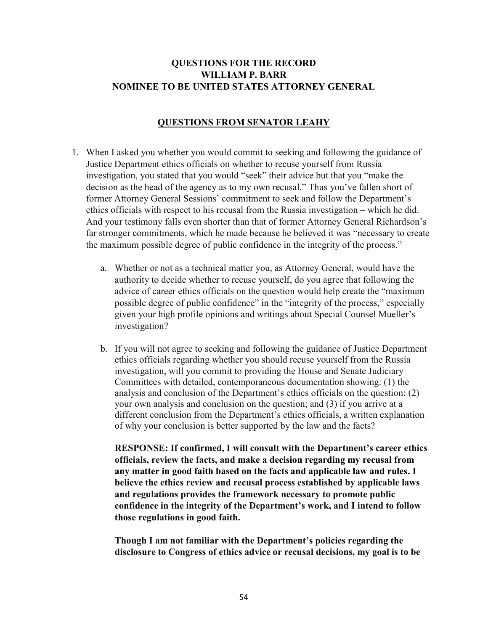# QUESTIONS FOR THE RECORD WILLIAM P. BARR NOMINEE TO BE UNITED STATES ATTORNEY GENERAL

### QUESTIONS FROM SENATOR LEAHY

- 1. When I asked you whether you would commit to seeking and following the guidance of Justice Department ethics officials on whether to recuse yourself from Russia investigation, you stated that you would "seek" their advice but that you "make the decision as the head of the agency as to my own recusal." Thus you've fallen short of former Attorney General Sessions' commitment to seek and follow the Department's ethics officials with respect to his recusal from the Russia investigation – which he did. And your testimony falls even shorter than that of former Attorney General Richardson's far stronger commitments, which he made because he believed it was "necessary to create the maximum possible degree of public confidence in the integrity of the process."
	- a. Whether or not as a technical matter you, as Attorney General, would have the authority to decide whether to recuse yourself, do you agree that following the advice of career ethics officials on the question would help create the "maximum possible degree of public confidence" in the "integrity of the process," especially given your high profile opinions and writings about Special Counsel Mueller's investigation?
	- b. If you will not agree to seeking and following the guidance of Justice Department ethics officials regarding whether you should recuse yourself from the Russia investigation, will you commit to providing the House and Senate Judiciary Committees with detailed, contemporaneous documentation showing: (1) the analysis and conclusion of the Department's ethics officials on the question; (2) your own analysis and conclusion on the question; and (3) if you arrive at a different conclusion from the Department's ethics officials, a written explanation of why your conclusion is better supported by the law and the facts?

RESPONSE: If confirmed, I will consult with the Department's career ethics officials, review the facts, and make a decision regarding my recusal from any matter in good faith based on the facts and applicable law and rules. I believe the ethics review and recusal process established by applicable laws and regulations provides the framework necessary to promote public confidence in the integrity of the Department's work, and I intend to follow those regulations in good faith.

Though I am not familiar with the Department's policies regarding the disclosure to Congress of ethics advice or recusal decisions, my goal is to be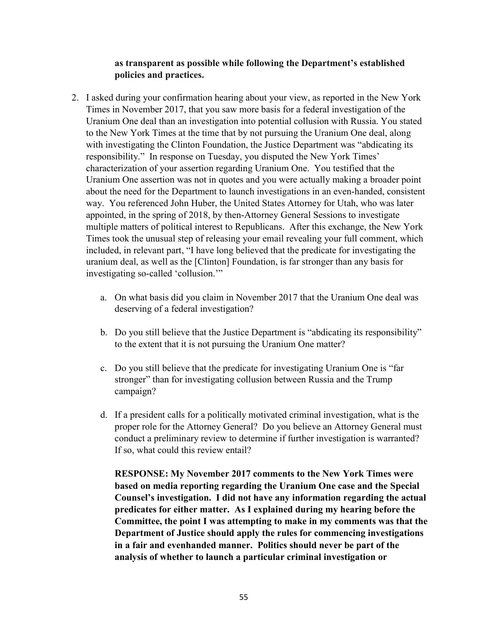#### as transparent as possible while following the Department's established policies and practices.

- 2. I asked during your confirmation hearing about your view, as reported in the New York Times in November 2017, that you saw more basis for a federal investigation of the Uranium One deal than an investigation into potential collusion with Russia. You stated to the New York Times at the time that by not pursuing the Uranium One deal, along with investigating the Clinton Foundation, the Justice Department was "abdicating its responsibility." In response on Tuesday, you disputed the New York Times' characterization of your assertion regarding Uranium One. You testified that the Uranium One assertion was not in quotes and you were actually making a broader point about the need for the Department to launch investigations in an even-handed, consistent way. You referenced John Huber, the United States Attorney for Utah, who was later appointed, in the spring of 2018, by then-Attorney General Sessions to investigate multiple matters of political interest to Republicans. After this exchange, the New York Times took the unusual step of releasing your email revealing your full comment, which included, in relevant part, "I have long believed that the predicate for investigating the uranium deal, as well as the [Clinton] Foundation, is far stronger than any basis for investigating so-called 'collusion.'"
	- a. On what basis did you claim in November 2017 that the Uranium One deal was deserving of a federal investigation?
	- b. Do you still believe that the Justice Department is "abdicating its responsibility" to the extent that it is not pursuing the Uranium One matter?
	- c. Do you still believe that the predicate for investigating Uranium One is "far stronger" than for investigating collusion between Russia and the Trump campaign?
	- d. If a president calls for a politically motivated criminal investigation, what is the proper role for the Attorney General? Do you believe an Attorney General must conduct a preliminary review to determine if further investigation is warranted? If so, what could this review entail?

RESPONSE: My November 2017 comments to the New York Times were based on media reporting regarding the Uranium One case and the Special Counsel's investigation. I did not have any information regarding the actual predicates for either matter. As I explained during my hearing before the Committee, the point I was attempting to make in my comments was that the Department of Justice should apply the rules for commencing investigations in a fair and evenhanded manner. Politics should never be part of the analysis of whether to launch a particular criminal investigation or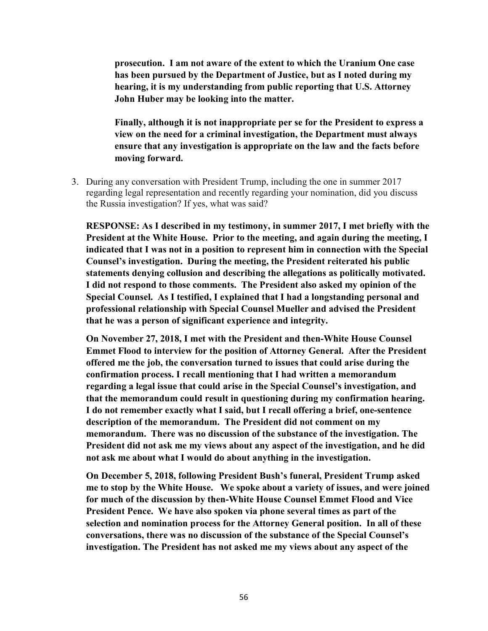prosecution. I am not aware of the extent to which the Uranium One case has been pursued by the Department of Justice, but as I noted during my hearing, it is my understanding from public reporting that U.S. Attorney John Huber may be looking into the matter.

Finally, although it is not inappropriate per se for the President to express a view on the need for a criminal investigation, the Department must always ensure that any investigation is appropriate on the law and the facts before moving forward.

3. During any conversation with President Trump, including the one in summer 2017 regarding legal representation and recently regarding your nomination, did you discuss the Russia investigation? If yes, what was said?

RESPONSE: As I described in my testimony, in summer 2017, I met briefly with the President at the White House. Prior to the meeting, and again during the meeting, I indicated that I was not in a position to represent him in connection with the Special Counsel's investigation. During the meeting, the President reiterated his public statements denying collusion and describing the allegations as politically motivated. I did not respond to those comments. The President also asked my opinion of the Special Counsel. As I testified, I explained that I had a longstanding personal and professional relationship with Special Counsel Mueller and advised the President that he was a person of significant experience and integrity.

On November 27, 2018, I met with the President and then-White House Counsel Emmet Flood to interview for the position of Attorney General. After the President offered me the job, the conversation turned to issues that could arise during the confirmation process. I recall mentioning that I had written a memorandum regarding a legal issue that could arise in the Special Counsel's investigation, and that the memorandum could result in questioning during my confirmation hearing. I do not remember exactly what I said, but I recall offering a brief, one-sentence description of the memorandum. The President did not comment on my memorandum. There was no discussion of the substance of the investigation. The President did not ask me my views about any aspect of the investigation, and he did not ask me about what I would do about anything in the investigation.

On December 5, 2018, following President Bush's funeral, President Trump asked me to stop by the White House. We spoke about a variety of issues, and were joined for much of the discussion by then-White House Counsel Emmet Flood and Vice President Pence. We have also spoken via phone several times as part of the selection and nomination process for the Attorney General position. In all of these conversations, there was no discussion of the substance of the Special Counsel's investigation. The President has not asked me my views about any aspect of the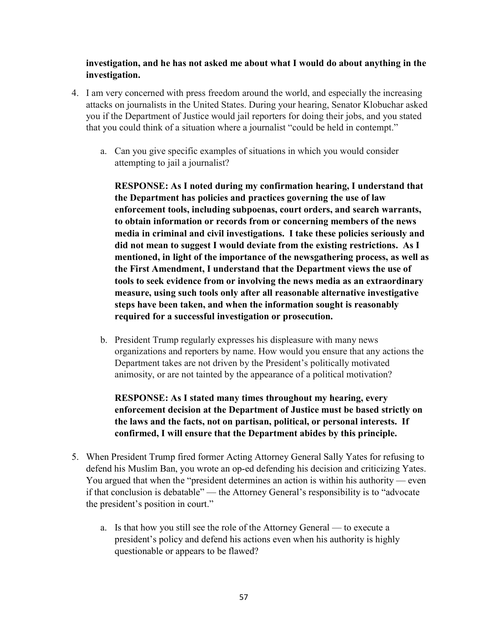### investigation, and he has not asked me about what I would do about anything in the investigation.

- 4. I am very concerned with press freedom around the world, and especially the increasing attacks on journalists in the United States. During your hearing, Senator Klobuchar asked you if the Department of Justice would jail reporters for doing their jobs, and you stated that you could think of a situation where a journalist "could be held in contempt."
	- a. Can you give specific examples of situations in which you would consider attempting to jail a journalist?

RESPONSE: As I noted during my confirmation hearing, I understand that the Department has policies and practices governing the use of law enforcement tools, including subpoenas, court orders, and search warrants, to obtain information or records from or concerning members of the news media in criminal and civil investigations. I take these policies seriously and did not mean to suggest I would deviate from the existing restrictions. As I mentioned, in light of the importance of the newsgathering process, as well as the First Amendment, I understand that the Department views the use of tools to seek evidence from or involving the news media as an extraordinary measure, using such tools only after all reasonable alternative investigative steps have been taken, and when the information sought is reasonably required for a successful investigation or prosecution.

b. President Trump regularly expresses his displeasure with many news organizations and reporters by name. How would you ensure that any actions the Department takes are not driven by the President's politically motivated animosity, or are not tainted by the appearance of a political motivation?

RESPONSE: As I stated many times throughout my hearing, every enforcement decision at the Department of Justice must be based strictly on the laws and the facts, not on partisan, political, or personal interests. If confirmed, I will ensure that the Department abides by this principle.

- 5. When President Trump fired former Acting Attorney General Sally Yates for refusing to defend his Muslim Ban, you wrote an op-ed defending his decision and criticizing Yates. You argued that when the "president determines an action is within his authority — even if that conclusion is debatable" — the Attorney General's responsibility is to "advocate the president's position in court."
	- a. Is that how you still see the role of the Attorney General to execute a president's policy and defend his actions even when his authority is highly questionable or appears to be flawed?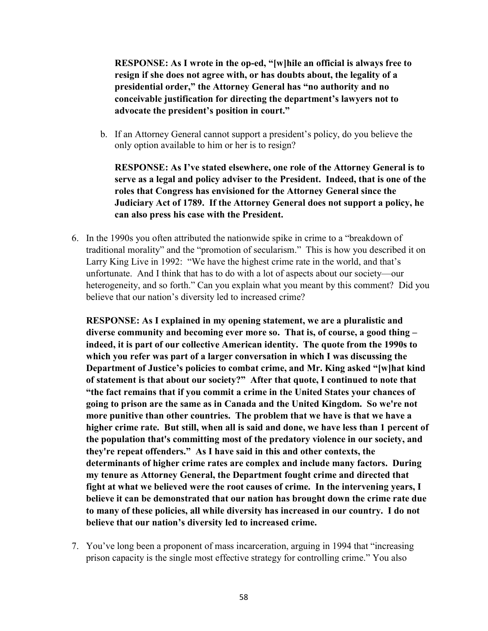RESPONSE: As I wrote in the op-ed, "[w]hile an official is always free to resign if she does not agree with, or has doubts about, the legality of a presidential order," the Attorney General has "no authority and no conceivable justification for directing the department's lawyers not to advocate the president's position in court."

b. If an Attorney General cannot support a president's policy, do you believe the only option available to him or her is to resign?

RESPONSE: As I've stated elsewhere, one role of the Attorney General is to serve as a legal and policy adviser to the President. Indeed, that is one of the roles that Congress has envisioned for the Attorney General since the Judiciary Act of 1789. If the Attorney General does not support a policy, he can also press his case with the President.

6. In the 1990s you often attributed the nationwide spike in crime to a "breakdown of traditional morality" and the "promotion of secularism." This is how you described it on Larry King Live in 1992: "We have the highest crime rate in the world, and that's unfortunate. And I think that has to do with a lot of aspects about our society—our heterogeneity, and so forth." Can you explain what you meant by this comment? Did you believe that our nation's diversity led to increased crime?

RESPONSE: As I explained in my opening statement, we are a pluralistic and diverse community and becoming ever more so. That is, of course, a good thing – indeed, it is part of our collective American identity. The quote from the 1990s to which you refer was part of a larger conversation in which I was discussing the Department of Justice's policies to combat crime, and Mr. King asked "[w]hat kind of statement is that about our society?" After that quote, I continued to note that "the fact remains that if you commit a crime in the United States your chances of going to prison are the same as in Canada and the United Kingdom. So we're not more punitive than other countries. The problem that we have is that we have a higher crime rate. But still, when all is said and done, we have less than 1 percent of the population that's committing most of the predatory violence in our society, and they're repeat offenders." As I have said in this and other contexts, the determinants of higher crime rates are complex and include many factors. During my tenure as Attorney General, the Department fought crime and directed that fight at what we believed were the root causes of crime. In the intervening years, I believe it can be demonstrated that our nation has brought down the crime rate due to many of these policies, all while diversity has increased in our country. I do not believe that our nation's diversity led to increased crime.

7. You've long been a proponent of mass incarceration, arguing in 1994 that "increasing prison capacity is the single most effective strategy for controlling crime." You also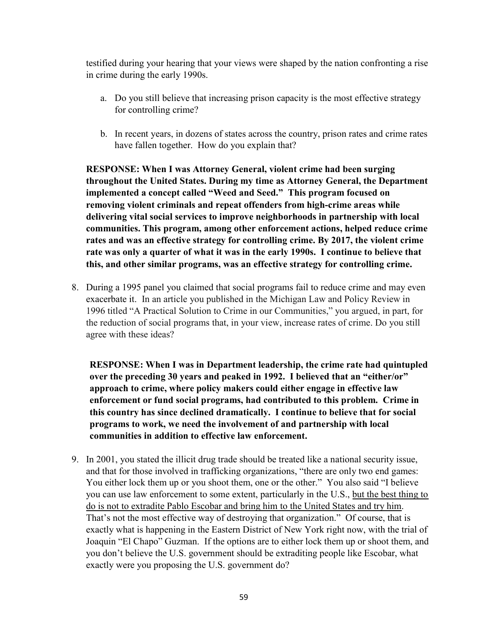testified during your hearing that your views were shaped by the nation confronting a rise in crime during the early 1990s.

- a. Do you still believe that increasing prison capacity is the most effective strategy for controlling crime?
- b. In recent years, in dozens of states across the country, prison rates and crime rates have fallen together. How do you explain that?

RESPONSE: When I was Attorney General, violent crime had been surging throughout the United States. During my time as Attorney General, the Department implemented a concept called "Weed and Seed." This program focused on removing violent criminals and repeat offenders from high-crime areas while delivering vital social services to improve neighborhoods in partnership with local communities. This program, among other enforcement actions, helped reduce crime rates and was an effective strategy for controlling crime. By 2017, the violent crime rate was only a quarter of what it was in the early 1990s. I continue to believe that this, and other similar programs, was an effective strategy for controlling crime.

8. During a 1995 panel you claimed that social programs fail to reduce crime and may even exacerbate it. In an article you published in the Michigan Law and Policy Review in 1996 titled "A Practical Solution to Crime in our Communities," you argued, in part, for the reduction of social programs that, in your view, increase rates of crime. Do you still agree with these ideas?

RESPONSE: When I was in Department leadership, the crime rate had quintupled over the preceding 30 years and peaked in 1992. I believed that an "either/or" approach to crime, where policy makers could either engage in effective law enforcement or fund social programs, had contributed to this problem. Crime in this country has since declined dramatically. I continue to believe that for social programs to work, we need the involvement of and partnership with local communities in addition to effective law enforcement.

9. In 2001, you stated the illicit drug trade should be treated like a national security issue, and that for those involved in trafficking organizations, "there are only two end games: You either lock them up or you shoot them, one or the other." You also said "I believe you can use law enforcement to some extent, particularly in the U.S., but the best thing to do is not to extradite Pablo Escobar and bring him to the United States and try him. That's not the most effective way of destroying that organization." Of course, that is exactly what is happening in the Eastern District of New York right now, with the trial of Joaquin "El Chapo" Guzman. If the options are to either lock them up or shoot them, and you don't believe the U.S. government should be extraditing people like Escobar, what exactly were you proposing the U.S. government do?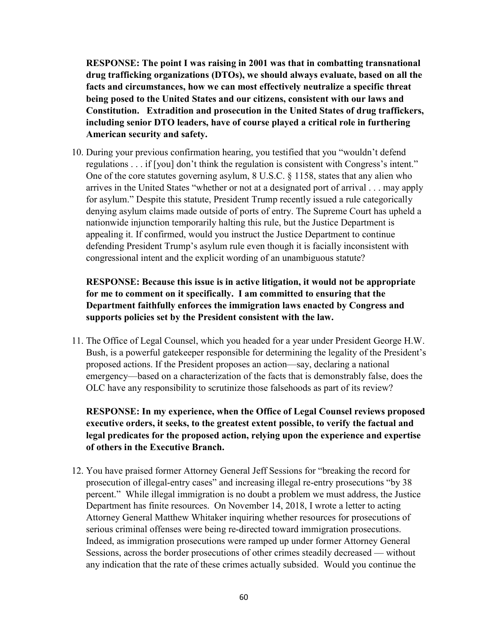RESPONSE: The point I was raising in 2001 was that in combatting transnational drug trafficking organizations (DTOs), we should always evaluate, based on all the facts and circumstances, how we can most effectively neutralize a specific threat being posed to the United States and our citizens, consistent with our laws and Constitution. Extradition and prosecution in the United States of drug traffickers, including senior DTO leaders, have of course played a critical role in furthering American security and safety.

10. During your previous confirmation hearing, you testified that you "wouldn't defend regulations . . . if [you] don't think the regulation is consistent with Congress's intent." One of the core statutes governing asylum, 8 U.S.C. § 1158, states that any alien who arrives in the United States "whether or not at a designated port of arrival . . . may apply for asylum." Despite this statute, President Trump recently issued a rule categorically denying asylum claims made outside of ports of entry. The Supreme Court has upheld a nationwide injunction temporarily halting this rule, but the Justice Department is appealing it. If confirmed, would you instruct the Justice Department to continue defending President Trump's asylum rule even though it is facially inconsistent with congressional intent and the explicit wording of an unambiguous statute?

## RESPONSE: Because this issue is in active litigation, it would not be appropriate for me to comment on it specifically. I am committed to ensuring that the Department faithfully enforces the immigration laws enacted by Congress and supports policies set by the President consistent with the law.

11. The Office of Legal Counsel, which you headed for a year under President George H.W. Bush, is a powerful gatekeeper responsible for determining the legality of the President's proposed actions. If the President proposes an action—say, declaring a national emergency—based on a characterization of the facts that is demonstrably false, does the OLC have any responsibility to scrutinize those falsehoods as part of its review?

RESPONSE: In my experience, when the Office of Legal Counsel reviews proposed executive orders, it seeks, to the greatest extent possible, to verify the factual and legal predicates for the proposed action, relying upon the experience and expertise of others in the Executive Branch.

12. You have praised former Attorney General Jeff Sessions for "breaking the record for prosecution of illegal-entry cases" and increasing illegal re-entry prosecutions "by 38 percent." While illegal immigration is no doubt a problem we must address, the Justice Department has finite resources. On November 14, 2018, I wrote a letter to acting Attorney General Matthew Whitaker inquiring whether resources for prosecutions of serious criminal offenses were being re-directed toward immigration prosecutions. Indeed, as immigration prosecutions were ramped up under former Attorney General Sessions, across the border prosecutions of other crimes steadily decreased — without any indication that the rate of these crimes actually subsided. Would you continue the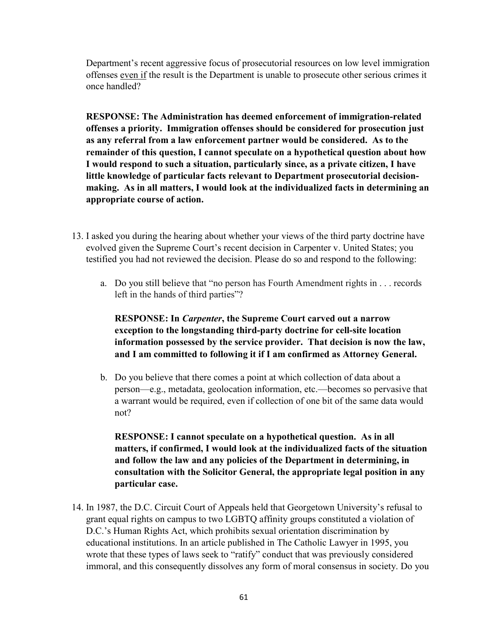Department's recent aggressive focus of prosecutorial resources on low level immigration offenses even if the result is the Department is unable to prosecute other serious crimes it once handled?

RESPONSE: The Administration has deemed enforcement of immigration-related offenses a priority. Immigration offenses should be considered for prosecution just as any referral from a law enforcement partner would be considered. As to the remainder of this question, I cannot speculate on a hypothetical question about how I would respond to such a situation, particularly since, as a private citizen, I have little knowledge of particular facts relevant to Department prosecutorial decisionmaking. As in all matters, I would look at the individualized facts in determining an appropriate course of action.

- 13. I asked you during the hearing about whether your views of the third party doctrine have evolved given the Supreme Court's recent decision in Carpenter v. United States; you testified you had not reviewed the decision. Please do so and respond to the following:
	- a. Do you still believe that "no person has Fourth Amendment rights in . . . records left in the hands of third parties"?

RESPONSE: In Carpenter, the Supreme Court carved out a narrow exception to the longstanding third-party doctrine for cell-site location information possessed by the service provider. That decision is now the law, and I am committed to following it if I am confirmed as Attorney General.

b. Do you believe that there comes a point at which collection of data about a person—e.g., metadata, geolocation information, etc.—becomes so pervasive that a warrant would be required, even if collection of one bit of the same data would not?

RESPONSE: I cannot speculate on a hypothetical question. As in all matters, if confirmed, I would look at the individualized facts of the situation and follow the law and any policies of the Department in determining, in consultation with the Solicitor General, the appropriate legal position in any particular case.

14. In 1987, the D.C. Circuit Court of Appeals held that Georgetown University's refusal to grant equal rights on campus to two LGBTQ affinity groups constituted a violation of D.C.'s Human Rights Act, which prohibits sexual orientation discrimination by educational institutions. In an article published in The Catholic Lawyer in 1995, you wrote that these types of laws seek to "ratify" conduct that was previously considered immoral, and this consequently dissolves any form of moral consensus in society. Do you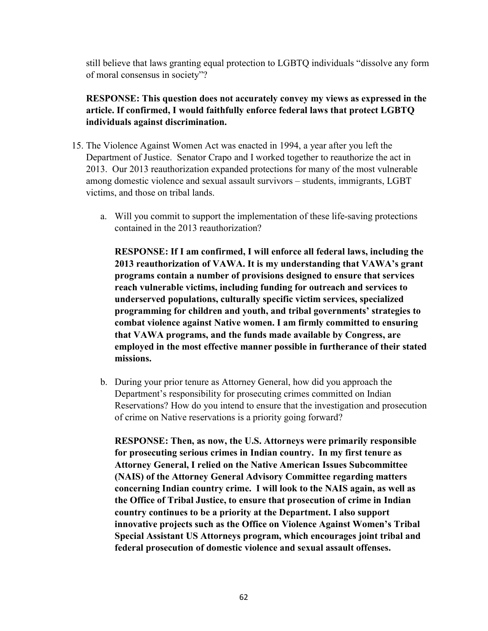still believe that laws granting equal protection to LGBTQ individuals "dissolve any form of moral consensus in society"?

RESPONSE: This question does not accurately convey my views as expressed in the article. If confirmed, I would faithfully enforce federal laws that protect LGBTQ individuals against discrimination.

- 15. The Violence Against Women Act was enacted in 1994, a year after you left the Department of Justice. Senator Crapo and I worked together to reauthorize the act in 2013. Our 2013 reauthorization expanded protections for many of the most vulnerable among domestic violence and sexual assault survivors – students, immigrants, LGBT victims, and those on tribal lands.
	- a. Will you commit to support the implementation of these life-saving protections contained in the 2013 reauthorization?

RESPONSE: If I am confirmed, I will enforce all federal laws, including the 2013 reauthorization of VAWA. It is my understanding that VAWA's grant programs contain a number of provisions designed to ensure that services reach vulnerable victims, including funding for outreach and services to underserved populations, culturally specific victim services, specialized programming for children and youth, and tribal governments' strategies to combat violence against Native women. I am firmly committed to ensuring that VAWA programs, and the funds made available by Congress, are employed in the most effective manner possible in furtherance of their stated missions.

b. During your prior tenure as Attorney General, how did you approach the Department's responsibility for prosecuting crimes committed on Indian Reservations? How do you intend to ensure that the investigation and prosecution of crime on Native reservations is a priority going forward?

RESPONSE: Then, as now, the U.S. Attorneys were primarily responsible for prosecuting serious crimes in Indian country. In my first tenure as Attorney General, I relied on the Native American Issues Subcommittee (NAIS) of the Attorney General Advisory Committee regarding matters concerning Indian country crime. I will look to the NAIS again, as well as the Office of Tribal Justice, to ensure that prosecution of crime in Indian country continues to be a priority at the Department. I also support innovative projects such as the Office on Violence Against Women's Tribal Special Assistant US Attorneys program, which encourages joint tribal and federal prosecution of domestic violence and sexual assault offenses.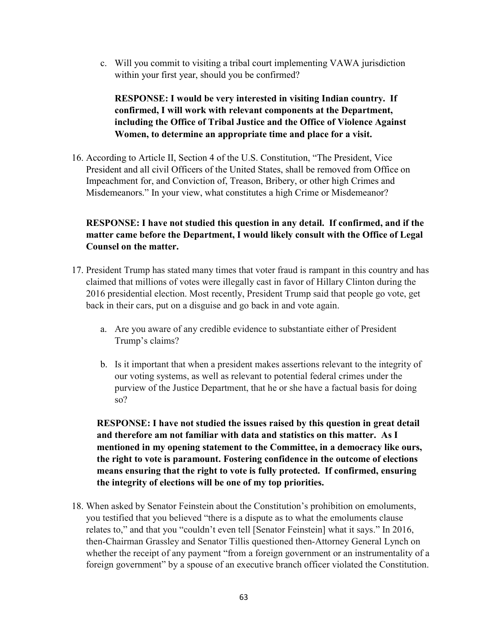c. Will you commit to visiting a tribal court implementing VAWA jurisdiction within your first year, should you be confirmed?

# RESPONSE: I would be very interested in visiting Indian country. If confirmed, I will work with relevant components at the Department, including the Office of Tribal Justice and the Office of Violence Against Women, to determine an appropriate time and place for a visit.

16. According to Article II, Section 4 of the U.S. Constitution, "The President, Vice President and all civil Officers of the United States, shall be removed from Office on Impeachment for, and Conviction of, Treason, Bribery, or other high Crimes and Misdemeanors." In your view, what constitutes a high Crime or Misdemeanor?

# RESPONSE: I have not studied this question in any detail. If confirmed, and if the matter came before the Department, I would likely consult with the Office of Legal Counsel on the matter.

- 17. President Trump has stated many times that voter fraud is rampant in this country and has claimed that millions of votes were illegally cast in favor of Hillary Clinton during the 2016 presidential election. Most recently, President Trump said that people go vote, get back in their cars, put on a disguise and go back in and vote again.
	- a. Are you aware of any credible evidence to substantiate either of President Trump's claims?
	- b. Is it important that when a president makes assertions relevant to the integrity of our voting systems, as well as relevant to potential federal crimes under the purview of the Justice Department, that he or she have a factual basis for doing so?

RESPONSE: I have not studied the issues raised by this question in great detail and therefore am not familiar with data and statistics on this matter. As I mentioned in my opening statement to the Committee, in a democracy like ours, the right to vote is paramount. Fostering confidence in the outcome of elections means ensuring that the right to vote is fully protected. If confirmed, ensuring the integrity of elections will be one of my top priorities.

18. When asked by Senator Feinstein about the Constitution's prohibition on emoluments, you testified that you believed "there is a dispute as to what the emoluments clause relates to," and that you "couldn't even tell [Senator Feinstein] what it says." In 2016, then-Chairman Grassley and Senator Tillis questioned then-Attorney General Lynch on whether the receipt of any payment "from a foreign government or an instrumentality of a foreign government" by a spouse of an executive branch officer violated the Constitution.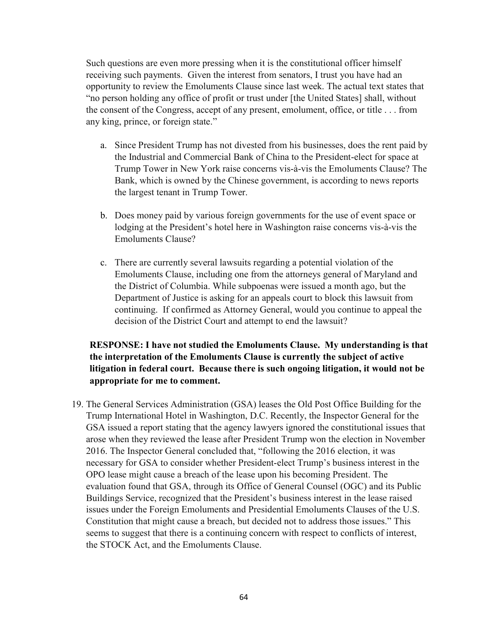Such questions are even more pressing when it is the constitutional officer himself receiving such payments. Given the interest from senators, I trust you have had an opportunity to review the Emoluments Clause since last week. The actual text states that "no person holding any office of profit or trust under [the United States] shall, without the consent of the Congress, accept of any present, emolument, office, or title . . . from any king, prince, or foreign state."

- a. Since President Trump has not divested from his businesses, does the rent paid by the Industrial and Commercial Bank of China to the President-elect for space at Trump Tower in New York raise concerns vis-à-vis the Emoluments Clause? The Bank, which is owned by the Chinese government, is according to news reports the largest tenant in Trump Tower.
- b. Does money paid by various foreign governments for the use of event space or lodging at the President's hotel here in Washington raise concerns vis-à-vis the Emoluments Clause?
- c. There are currently several lawsuits regarding a potential violation of the Emoluments Clause, including one from the attorneys general of Maryland and the District of Columbia. While subpoenas were issued a month ago, but the Department of Justice is asking for an appeals court to block this lawsuit from continuing. If confirmed as Attorney General, would you continue to appeal the decision of the District Court and attempt to end the lawsuit?

## RESPONSE: I have not studied the Emoluments Clause. My understanding is that the interpretation of the Emoluments Clause is currently the subject of active litigation in federal court. Because there is such ongoing litigation, it would not be appropriate for me to comment.

19. The General Services Administration (GSA) leases the Old Post Office Building for the Trump International Hotel in Washington, D.C. Recently, the Inspector General for the GSA issued a report stating that the agency lawyers ignored the constitutional issues that arose when they reviewed the lease after President Trump won the election in November 2016. The Inspector General concluded that, "following the 2016 election, it was necessary for GSA to consider whether President-elect Trump's business interest in the OPO lease might cause a breach of the lease upon his becoming President. The evaluation found that GSA, through its Office of General Counsel (OGC) and its Public Buildings Service, recognized that the President's business interest in the lease raised issues under the Foreign Emoluments and Presidential Emoluments Clauses of the U.S. Constitution that might cause a breach, but decided not to address those issues." This seems to suggest that there is a continuing concern with respect to conflicts of interest, the STOCK Act, and the Emoluments Clause.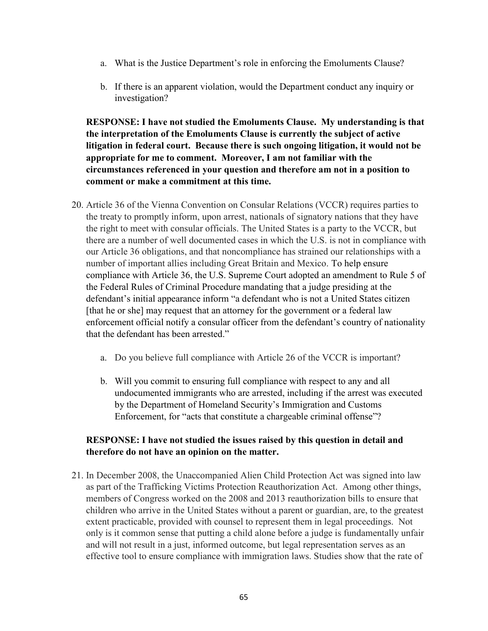- a. What is the Justice Department's role in enforcing the Emoluments Clause?
- b. If there is an apparent violation, would the Department conduct any inquiry or investigation?

RESPONSE: I have not studied the Emoluments Clause. My understanding is that the interpretation of the Emoluments Clause is currently the subject of active litigation in federal court. Because there is such ongoing litigation, it would not be appropriate for me to comment. Moreover, I am not familiar with the circumstances referenced in your question and therefore am not in a position to comment or make a commitment at this time.

- 20. Article 36 of the Vienna Convention on Consular Relations (VCCR) requires parties to the treaty to promptly inform, upon arrest, nationals of signatory nations that they have the right to meet with consular officials. The United States is a party to the VCCR, but there are a number of well documented cases in which the U.S. is not in compliance with our Article 36 obligations, and that noncompliance has strained our relationships with a number of important allies including Great Britain and Mexico. To help ensure compliance with Article 36, the U.S. Supreme Court adopted an amendment to Rule 5 of the Federal Rules of Criminal Procedure mandating that a judge presiding at the defendant's initial appearance inform "a defendant who is not a United States citizen [that he or she] may request that an attorney for the government or a federal law enforcement official notify a consular officer from the defendant's country of nationality that the defendant has been arrested."
	- a. Do you believe full compliance with Article 26 of the VCCR is important?
	- b. Will you commit to ensuring full compliance with respect to any and all undocumented immigrants who are arrested, including if the arrest was executed by the Department of Homeland Security's Immigration and Customs Enforcement, for "acts that constitute a chargeable criminal offense"?

### RESPONSE: I have not studied the issues raised by this question in detail and therefore do not have an opinion on the matter.

21. In December 2008, the Unaccompanied Alien Child Protection Act was signed into law as part of the Trafficking Victims Protection Reauthorization Act. Among other things, members of Congress worked on the 2008 and 2013 reauthorization bills to ensure that children who arrive in the United States without a parent or guardian, are, to the greatest extent practicable, provided with counsel to represent them in legal proceedings. Not only is it common sense that putting a child alone before a judge is fundamentally unfair and will not result in a just, informed outcome, but legal representation serves as an effective tool to ensure compliance with immigration laws. Studies show that the rate of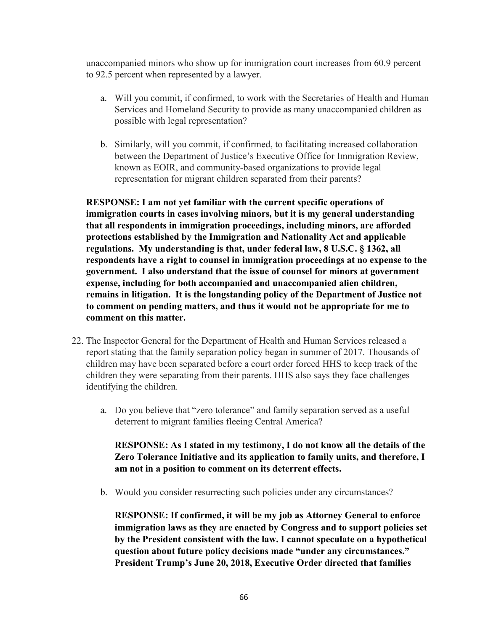unaccompanied minors who show up for immigration court increases from 60.9 percent to 92.5 percent when represented by a lawyer.

- a. Will you commit, if confirmed, to work with the Secretaries of Health and Human Services and Homeland Security to provide as many unaccompanied children as possible with legal representation?
- b. Similarly, will you commit, if confirmed, to facilitating increased collaboration between the Department of Justice's Executive Office for Immigration Review, known as EOIR, and community-based organizations to provide legal representation for migrant children separated from their parents?

RESPONSE: I am not yet familiar with the current specific operations of immigration courts in cases involving minors, but it is my general understanding that all respondents in immigration proceedings, including minors, are afforded protections established by the Immigration and Nationality Act and applicable regulations. My understanding is that, under federal law, 8 U.S.C. § 1362, all respondents have a right to counsel in immigration proceedings at no expense to the government. I also understand that the issue of counsel for minors at government expense, including for both accompanied and unaccompanied alien children, remains in litigation. It is the longstanding policy of the Department of Justice not to comment on pending matters, and thus it would not be appropriate for me to comment on this matter.

- 22. The Inspector General for the Department of Health and Human Services released a report stating that the family separation policy began in summer of 2017. Thousands of children may have been separated before a court order forced HHS to keep track of the children they were separating from their parents. HHS also says they face challenges identifying the children.
	- a. Do you believe that "zero tolerance" and family separation served as a useful deterrent to migrant families fleeing Central America?

RESPONSE: As I stated in my testimony, I do not know all the details of the Zero Tolerance Initiative and its application to family units, and therefore, I am not in a position to comment on its deterrent effects.

b. Would you consider resurrecting such policies under any circumstances?

RESPONSE: If confirmed, it will be my job as Attorney General to enforce immigration laws as they are enacted by Congress and to support policies set by the President consistent with the law. I cannot speculate on a hypothetical question about future policy decisions made "under any circumstances." President Trump's June 20, 2018, Executive Order directed that families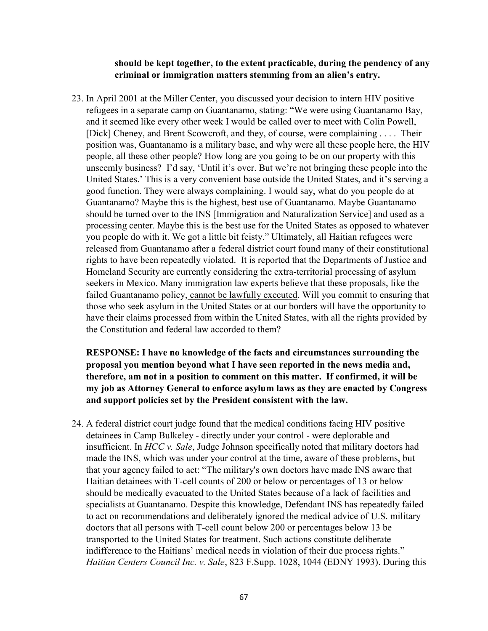#### should be kept together, to the extent practicable, during the pendency of any criminal or immigration matters stemming from an alien's entry.

23. In April 2001 at the Miller Center, you discussed your decision to intern HIV positive refugees in a separate camp on Guantanamo, stating: "We were using Guantanamo Bay, and it seemed like every other week I would be called over to meet with Colin Powell, [Dick] Cheney, and Brent Scowcroft, and they, of course, were complaining . . . . Their position was, Guantanamo is a military base, and why were all these people here, the HIV people, all these other people? How long are you going to be on our property with this unseemly business? I'd say, 'Until it's over. But we're not bringing these people into the United States.' This is a very convenient base outside the United States, and it's serving a good function. They were always complaining. I would say, what do you people do at Guantanamo? Maybe this is the highest, best use of Guantanamo. Maybe Guantanamo should be turned over to the INS [Immigration and Naturalization Service] and used as a processing center. Maybe this is the best use for the United States as opposed to whatever you people do with it. We got a little bit feisty." Ultimately, all Haitian refugees were released from Guantanamo after a federal district court found many of their constitutional rights to have been repeatedly violated. It is reported that the Departments of Justice and Homeland Security are currently considering the extra-territorial processing of asylum seekers in Mexico. Many immigration law experts believe that these proposals, like the failed Guantanamo policy, cannot be lawfully executed. Will you commit to ensuring that those who seek asylum in the United States or at our borders will have the opportunity to have their claims processed from within the United States, with all the rights provided by the Constitution and federal law accorded to them?

RESPONSE: I have no knowledge of the facts and circumstances surrounding the proposal you mention beyond what I have seen reported in the news media and, therefore, am not in a position to comment on this matter. If confirmed, it will be my job as Attorney General to enforce asylum laws as they are enacted by Congress and support policies set by the President consistent with the law.

24. A federal district court judge found that the medical conditions facing HIV positive detainees in Camp Bulkeley - directly under your control - were deplorable and insufficient. In HCC v. Sale, Judge Johnson specifically noted that military doctors had made the INS, which was under your control at the time, aware of these problems, but that your agency failed to act: "The military's own doctors have made INS aware that Haitian detainees with T-cell counts of 200 or below or percentages of 13 or below should be medically evacuated to the United States because of a lack of facilities and specialists at Guantanamo. Despite this knowledge, Defendant INS has repeatedly failed to act on recommendations and deliberately ignored the medical advice of U.S. military doctors that all persons with T-cell count below 200 or percentages below 13 be transported to the United States for treatment. Such actions constitute deliberate indifference to the Haitians' medical needs in violation of their due process rights." Haitian Centers Council Inc. v. Sale, 823 F.Supp. 1028, 1044 (EDNY 1993). During this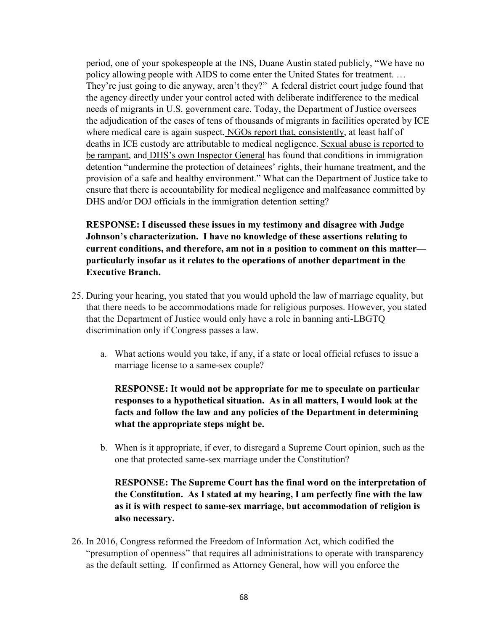period, one of your spokespeople at the INS, Duane Austin stated publicly, "We have no policy allowing people with AIDS to come enter the United States for treatment. … They're just going to die anyway, aren't they?" A federal district court judge found that the agency directly under your control acted with deliberate indifference to the medical needs of migrants in U.S. government care. Today, the Department of Justice oversees the adjudication of the cases of tens of thousands of migrants in facilities operated by ICE where medical care is again suspect. NGOs report that, consistently, at least half of deaths in ICE custody are attributable to medical negligence. Sexual abuse is reported to be rampant, and DHS's own Inspector General has found that conditions in immigration detention "undermine the protection of detainees' rights, their humane treatment, and the provision of a safe and healthy environment." What can the Department of Justice take to ensure that there is accountability for medical negligence and malfeasance committed by DHS and/or DOJ officials in the immigration detention setting?

RESPONSE: I discussed these issues in my testimony and disagree with Judge Johnson's characterization. I have no knowledge of these assertions relating to current conditions, and therefore, am not in a position to comment on this matter particularly insofar as it relates to the operations of another department in the Executive Branch.

- 25. During your hearing, you stated that you would uphold the law of marriage equality, but that there needs to be accommodations made for religious purposes. However, you stated that the Department of Justice would only have a role in banning anti-LBGTQ discrimination only if Congress passes a law.
	- a. What actions would you take, if any, if a state or local official refuses to issue a marriage license to a same-sex couple?

RESPONSE: It would not be appropriate for me to speculate on particular responses to a hypothetical situation. As in all matters, I would look at the facts and follow the law and any policies of the Department in determining what the appropriate steps might be.

b. When is it appropriate, if ever, to disregard a Supreme Court opinion, such as the one that protected same-sex marriage under the Constitution?

### RESPONSE: The Supreme Court has the final word on the interpretation of the Constitution. As I stated at my hearing, I am perfectly fine with the law as it is with respect to same-sex marriage, but accommodation of religion is also necessary.

26. In 2016, Congress reformed the Freedom of Information Act, which codified the "presumption of openness" that requires all administrations to operate with transparency as the default setting. If confirmed as Attorney General, how will you enforce the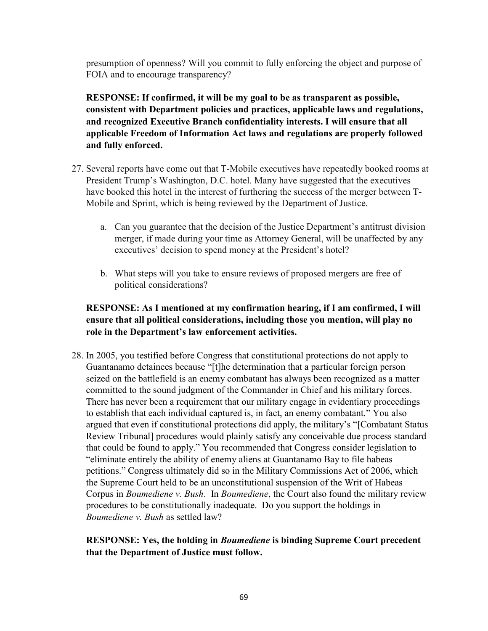presumption of openness? Will you commit to fully enforcing the object and purpose of FOIA and to encourage transparency?

RESPONSE: If confirmed, it will be my goal to be as transparent as possible, consistent with Department policies and practices, applicable laws and regulations, and recognized Executive Branch confidentiality interests. I will ensure that all applicable Freedom of Information Act laws and regulations are properly followed and fully enforced.

- 27. Several reports have come out that T-Mobile executives have repeatedly booked rooms at President Trump's Washington, D.C. hotel. Many have suggested that the executives have booked this hotel in the interest of furthering the success of the merger between T-Mobile and Sprint, which is being reviewed by the Department of Justice.
	- a. Can you guarantee that the decision of the Justice Department's antitrust division merger, if made during your time as Attorney General, will be unaffected by any executives' decision to spend money at the President's hotel?
	- b. What steps will you take to ensure reviews of proposed mergers are free of political considerations?

# RESPONSE: As I mentioned at my confirmation hearing, if I am confirmed, I will ensure that all political considerations, including those you mention, will play no role in the Department's law enforcement activities.

28. In 2005, you testified before Congress that constitutional protections do not apply to Guantanamo detainees because "[t]he determination that a particular foreign person seized on the battlefield is an enemy combatant has always been recognized as a matter committed to the sound judgment of the Commander in Chief and his military forces. There has never been a requirement that our military engage in evidentiary proceedings to establish that each individual captured is, in fact, an enemy combatant." You also argued that even if constitutional protections did apply, the military's "[Combatant Status Review Tribunal] procedures would plainly satisfy any conceivable due process standard that could be found to apply." You recommended that Congress consider legislation to "eliminate entirely the ability of enemy aliens at Guantanamo Bay to file habeas petitions." Congress ultimately did so in the Military Commissions Act of 2006, which the Supreme Court held to be an unconstitutional suspension of the Writ of Habeas Corpus in *Boumediene v. Bush.* In *Boumediene*, the Court also found the military review procedures to be constitutionally inadequate. Do you support the holdings in Boumediene v. Bush as settled law?

### RESPONSE: Yes, the holding in Boumediene is binding Supreme Court precedent that the Department of Justice must follow.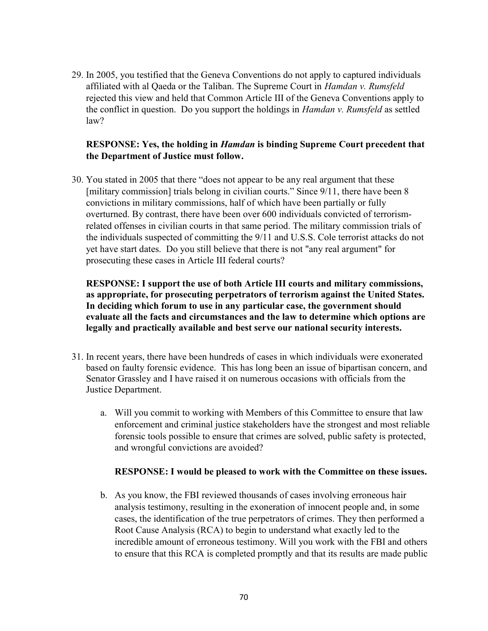29. In 2005, you testified that the Geneva Conventions do not apply to captured individuals affiliated with al Qaeda or the Taliban. The Supreme Court in Hamdan v. Rumsfeld rejected this view and held that Common Article III of the Geneva Conventions apply to the conflict in question. Do you support the holdings in *Hamdan v. Rumsfeld* as settled law?

### RESPONSE: Yes, the holding in Hamdan is binding Supreme Court precedent that the Department of Justice must follow.

30. You stated in 2005 that there "does not appear to be any real argument that these [military commission] trials belong in civilian courts." Since 9/11, there have been 8 convictions in military commissions, half of which have been partially or fully overturned. By contrast, there have been over 600 individuals convicted of terrorismrelated offenses in civilian courts in that same period. The military commission trials of the individuals suspected of committing the 9/11 and U.S.S. Cole terrorist attacks do not yet have start dates. Do you still believe that there is not "any real argument" for prosecuting these cases in Article III federal courts?

RESPONSE: I support the use of both Article III courts and military commissions, as appropriate, for prosecuting perpetrators of terrorism against the United States. In deciding which forum to use in any particular case, the government should evaluate all the facts and circumstances and the law to determine which options are legally and practically available and best serve our national security interests.

- 31. In recent years, there have been hundreds of cases in which individuals were exonerated based on faulty forensic evidence. This has long been an issue of bipartisan concern, and Senator Grassley and I have raised it on numerous occasions with officials from the Justice Department.
	- a. Will you commit to working with Members of this Committee to ensure that law enforcement and criminal justice stakeholders have the strongest and most reliable forensic tools possible to ensure that crimes are solved, public safety is protected, and wrongful convictions are avoided?

### RESPONSE: I would be pleased to work with the Committee on these issues.

b. As you know, the FBI reviewed thousands of cases involving erroneous hair analysis testimony, resulting in the exoneration of innocent people and, in some cases, the identification of the true perpetrators of crimes. They then performed a Root Cause Analysis (RCA) to begin to understand what exactly led to the incredible amount of erroneous testimony. Will you work with the FBI and others to ensure that this RCA is completed promptly and that its results are made public